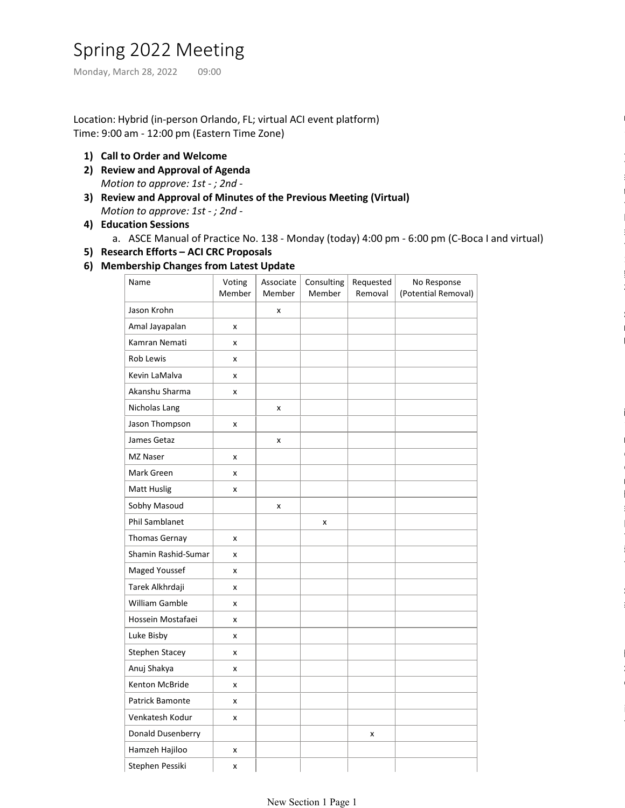# Spring 2022 Meeting

Location: Hybrid (in-person Orlando, FL; virtual ACI event platform) Time: 9:00 am - 12:00 pm (Eastern Time Zone) Spring 2022 Meeting<br>
Monday, March 28, 2022 09:00<br>
Location: Hybrid (in-person Orlando, FL; virtual ACI event platform)<br>Time: 9:00 am - 12:00 pm (Eastern Time Zone)

- 1) Call to Order and Welcome
- 2) Review and Approval of Agenda Motion to approve: 1st - ; 2nd -
- 3) Review and Approval of Minutes of the Previous Meeting (Virtual) Motion to approve: 1st - ; 2nd -
- Education Sessions 4)
	- a. ASCE Manual of Practice No. 138 Monday (today) 4:00 pm 6:00 pm (C-Boca I and virtual)
- 5) Research Efforts ACI CRC Proposals
- Membership Changes from Latest Update 6)

| Name                | Voting<br>Member   | Associate<br>Member | Consulting<br>Member | Requested<br>Removal | No Response<br>(Potential Removal) |
|---------------------|--------------------|---------------------|----------------------|----------------------|------------------------------------|
| Jason Krohn         |                    | x                   |                      |                      |                                    |
| Amal Jayapalan      | $\pmb{\times}$     |                     |                      |                      |                                    |
| Kamran Nemati       | X                  |                     |                      |                      |                                    |
| Rob Lewis           | $\pmb{\mathsf{x}}$ |                     |                      |                      |                                    |
| Kevin LaMalva       | $\pmb{\times}$     |                     |                      |                      |                                    |
| Akanshu Sharma      | $\pmb{\times}$     |                     |                      |                      |                                    |
| Nicholas Lang       |                    | x                   |                      |                      |                                    |
| Jason Thompson      | $\pmb{\times}$     |                     |                      |                      |                                    |
| James Getaz         |                    | x                   |                      |                      |                                    |
| MZ Naser            | $\pmb{\mathsf{x}}$ |                     |                      |                      |                                    |
| Mark Green          | $\pmb{\times}$     |                     |                      |                      |                                    |
| <b>Matt Huslig</b>  | $\pmb{\times}$     |                     |                      |                      |                                    |
| Sobhy Masoud        |                    | X                   |                      |                      |                                    |
| Phil Samblanet      |                    |                     | X                    |                      |                                    |
| Thomas Gernay       | X                  |                     |                      |                      |                                    |
| Shamin Rashid-Sumar | $\pmb{\times}$     |                     |                      |                      |                                    |
| Maged Youssef       | X                  |                     |                      |                      |                                    |
| Tarek Alkhrdaji     | $\pmb{\times}$     |                     |                      |                      |                                    |
| William Gamble      | $\pmb{\times}$     |                     |                      |                      |                                    |
| Hossein Mostafaei   | $\pmb{\times}$     |                     |                      |                      |                                    |
| Luke Bisby          | $\pmb{\times}$     |                     |                      |                      |                                    |
| Stephen Stacey      | $\pmb{\times}$     |                     |                      |                      |                                    |
| Anuj Shakya         | $\pmb{\times}$     |                     |                      |                      |                                    |
| Kenton McBride      | X                  |                     |                      |                      |                                    |
| Patrick Bamonte     | $\pmb{\mathsf{x}}$ |                     |                      |                      |                                    |
| Venkatesh Kodur     | $\pmb{\mathsf{x}}$ |                     |                      |                      |                                    |
| Donald Dusenberry   |                    |                     |                      | x                    |                                    |
| Hamzeh Hajiloo      | $\pmb{\times}$     |                     |                      |                      |                                    |
| Stephen Pessiki     | x                  |                     |                      |                      |                                    |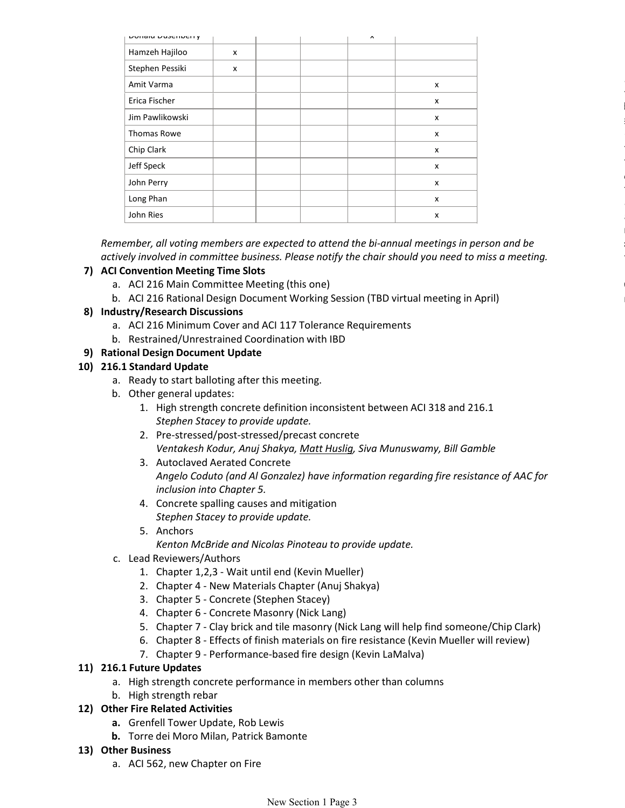| <b>DOTIGIO DUSCITOCITY</b> |   |  | $\boldsymbol{\wedge}$ |   |
|----------------------------|---|--|-----------------------|---|
| Hamzeh Hajiloo             | x |  |                       |   |
| Stephen Pessiki            | x |  |                       |   |
| Amit Varma                 |   |  |                       | X |
| Erica Fischer              |   |  |                       | X |
| Jim Pawlikowski            |   |  |                       | X |
| Thomas Rowe                |   |  |                       | X |
| Chip Clark                 |   |  |                       | X |
| Jeff Speck                 |   |  |                       | X |
| John Perry                 |   |  |                       | x |
| Long Phan                  |   |  |                       | X |
| John Ries                  |   |  |                       | X |

Remember, all voting members are expected to attend the bi-annual meetings in person and be actively involved in committee business. Please notify the chair should you need to miss a meeting.

# 7) ACI Convention Meeting Time Slots

- a. ACI 216 Main Committee Meeting (this one)
- b. ACI 216 Rational Design Document Working Session (TBD virtual meeting in April)

### 8) Industry/Research Discussions

- a. ACI 216 Minimum Cover and ACI 117 Tolerance Requirements
- b. Restrained/Unrestrained Coordination with IBD

# 9) Rational Design Document Update

# 216.1 Standard Update 10)

- a. Ready to start balloting after this meeting.
- b. Other general updates:
	- 1. High strength concrete definition inconsistent between ACI 318 and 216.1 Stephen Stacey to provide update.
	- 2. Pre-stressed/post-stressed/precast concrete Ventakesh Kodur, Anuj Shakya, Matt Huslig, Siva Munuswamy, Bill Gamble
	- Autoclaved Aerated Concrete 3. Angelo Coduto (and Al Gonzalez) have information regarding fire resistance of AAC for inclusion into Chapter 5.
	- Concrete spalling causes and mitigation 4. Stephen Stacey to provide update.
	- Anchors 5.
		- Kenton McBride and Nicolas Pinoteau to provide update.
- c. Lead Reviewers/Authors
	- 1. Chapter 1,2,3 Wait until end (Kevin Mueller)
	- 2. Chapter 4 New Materials Chapter (Anuj Shakya)
	- 3. Chapter 5 Concrete (Stephen Stacey)
	- 4. Chapter 6 Concrete Masonry (Nick Lang)
	- 5. Chapter 7 Clay brick and tile masonry (Nick Lang will help find someone/Chip Clark)
	- 6. Chapter 8 Effects of finish materials on fire resistance (Kevin Mueller will review)
	- 7. Chapter 9 Performance-based fire design (Kevin LaMalva)

### 216.1 Future Updates 11)

- a. High strength concrete performance in members other than columns
- b. High strength rebar

### Other Fire Related Activities 12)

- a. Grenfell Tower Update, Rob Lewis
- b. Torre dei Moro Milan, Patrick Bamonte

### Other Business 13)

a. ACI 562, new Chapter on Fire